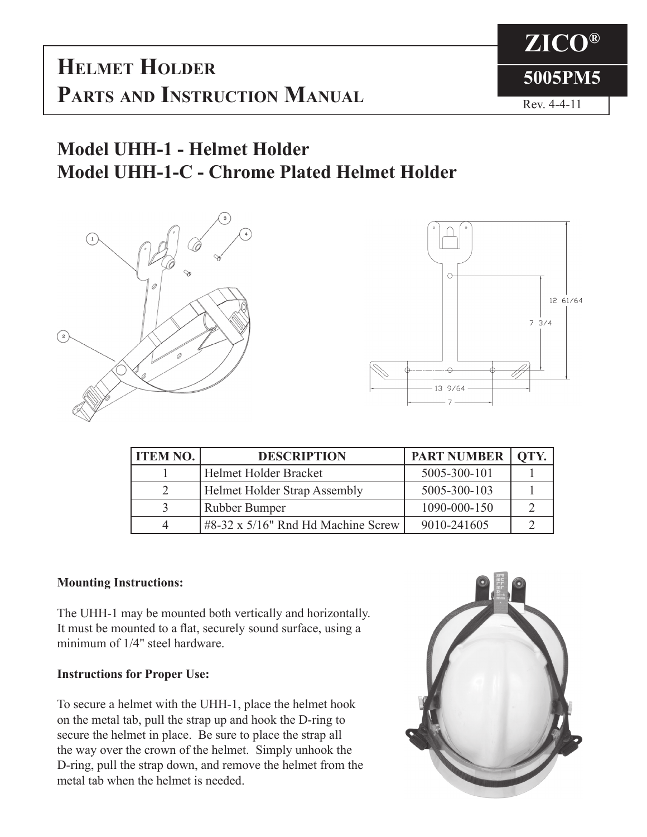**HELMET HOLDER** 5005PM5 **Parts and Instruction Manual**



## **Model UHH-1 - Helmet Holder Model UHH-1-C - Chrome Plated Helmet Holder**





| <b>ITEM NO.</b> | <b>DESCRIPTION</b>                          | <b>PART NUMBER</b> | OTY. |
|-----------------|---------------------------------------------|--------------------|------|
|                 | Helmet Holder Bracket                       | 5005-300-101       |      |
|                 | <b>Helmet Holder Strap Assembly</b>         | 5005-300-103       |      |
|                 | <b>Rubber Bumper</b>                        | 1090-000-150       |      |
|                 | $\#8-32 \times 5/16$ " Rnd Hd Machine Screw | 9010-241605        |      |

## **Mounting Instructions:**

The UHH-1 may be mounted both vertically and horizontally. It must be mounted to a flat, securely sound surface, using a minimum of 1/4" steel hardware.

## **Instructions for Proper Use:**

To secure a helmet with the UHH-1, place the helmet hook on the metal tab, pull the strap up and hook the D-ring to secure the helmet in place. Be sure to place the strap all the way over the crown of the helmet. Simply unhook the D-ring, pull the strap down, and remove the helmet from the metal tab when the helmet is needed.